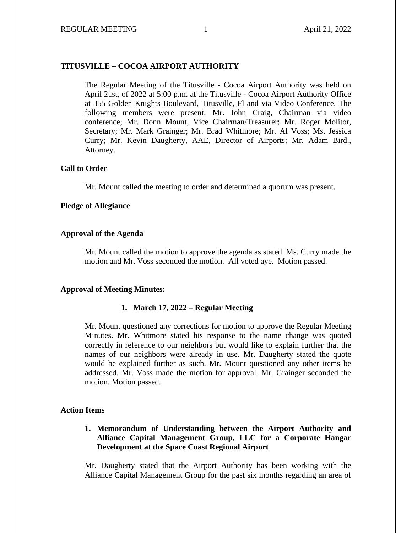# **TITUSVILLE – COCOA AIRPORT AUTHORITY**

The Regular Meeting of the Titusville - Cocoa Airport Authority was held on April 21st, of 2022 at 5:00 p.m. at the Titusville - Cocoa Airport Authority Office at 355 Golden Knights Boulevard, Titusville, Fl and via Video Conference. The following members were present: Mr. John Craig, Chairman via video conference; Mr. Donn Mount, Vice Chairman/Treasurer; Mr. Roger Molitor, Secretary; Mr. Mark Grainger; Mr. Brad Whitmore; Mr. Al Voss; Ms. Jessica Curry; Mr. Kevin Daugherty, AAE, Director of Airports; Mr. Adam Bird., Attorney.

## **Call to Order**

Mr. Mount called the meeting to order and determined a quorum was present.

## **Pledge of Allegiance**

## **Approval of the Agenda**

Mr. Mount called the motion to approve the agenda as stated. Ms. Curry made the motion and Mr. Voss seconded the motion. All voted aye. Motion passed.

## **Approval of Meeting Minutes:**

### **1. March 17, 2022 – Regular Meeting**

Mr. Mount questioned any corrections for motion to approve the Regular Meeting Minutes. Mr. Whitmore stated his response to the name change was quoted correctly in reference to our neighbors but would like to explain further that the names of our neighbors were already in use. Mr. Daugherty stated the quote would be explained further as such. Mr. Mount questioned any other items be addressed. Mr. Voss made the motion for approval. Mr. Grainger seconded the motion. Motion passed.

## **Action Items**

# **1. Memorandum of Understanding between the Airport Authority and Alliance Capital Management Group, LLC for a Corporate Hangar Development at the Space Coast Regional Airport**

Mr. Daugherty stated that the Airport Authority has been working with the Alliance Capital Management Group for the past six months regarding an area of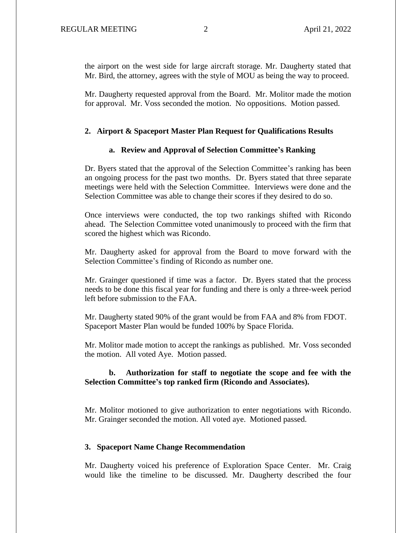the airport on the west side for large aircraft storage. Mr. Daugherty stated that Mr. Bird, the attorney, agrees with the style of MOU as being the way to proceed.

Mr. Daugherty requested approval from the Board. Mr. Molitor made the motion for approval. Mr. Voss seconded the motion. No oppositions. Motion passed.

#### **2. Airport & Spaceport Master Plan Request for Qualifications Results**

## **a. Review and Approval of Selection Committee's Ranking**

Dr. Byers stated that the approval of the Selection Committee's ranking has been an ongoing process for the past two months. Dr. Byers stated that three separate meetings were held with the Selection Committee. Interviews were done and the Selection Committee was able to change their scores if they desired to do so.

Once interviews were conducted, the top two rankings shifted with Ricondo ahead. The Selection Committee voted unanimously to proceed with the firm that scored the highest which was Ricondo.

Mr. Daugherty asked for approval from the Board to move forward with the Selection Committee's finding of Ricondo as number one.

Mr. Grainger questioned if time was a factor. Dr. Byers stated that the process needs to be done this fiscal year for funding and there is only a three-week period left before submission to the FAA.

Mr. Daugherty stated 90% of the grant would be from FAA and 8% from FDOT. Spaceport Master Plan would be funded 100% by Space Florida.

Mr. Molitor made motion to accept the rankings as published. Mr. Voss seconded the motion. All voted Aye. Motion passed.

## **b. Authorization for staff to negotiate the scope and fee with the Selection Committee's top ranked firm (Ricondo and Associates).**

Mr. Molitor motioned to give authorization to enter negotiations with Ricondo. Mr. Grainger seconded the motion. All voted aye. Motioned passed.

### **3. Spaceport Name Change Recommendation**

Mr. Daugherty voiced his preference of Exploration Space Center. Mr. Craig would like the timeline to be discussed. Mr. Daugherty described the four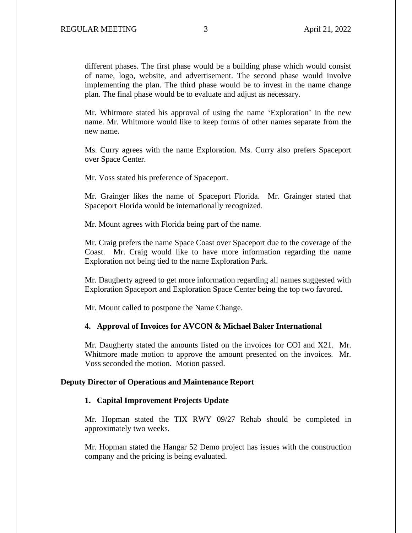different phases. The first phase would be a building phase which would consist of name, logo, website, and advertisement. The second phase would involve implementing the plan. The third phase would be to invest in the name change plan. The final phase would be to evaluate and adjust as necessary.

Mr. Whitmore stated his approval of using the name 'Exploration' in the new name. Mr. Whitmore would like to keep forms of other names separate from the new name.

Ms. Curry agrees with the name Exploration. Ms. Curry also prefers Spaceport over Space Center.

Mr. Voss stated his preference of Spaceport.

Mr. Grainger likes the name of Spaceport Florida. Mr. Grainger stated that Spaceport Florida would be internationally recognized.

Mr. Mount agrees with Florida being part of the name.

Mr. Craig prefers the name Space Coast over Spaceport due to the coverage of the Coast. Mr. Craig would like to have more information regarding the name Exploration not being tied to the name Exploration Park.

Mr. Daugherty agreed to get more information regarding all names suggested with Exploration Spaceport and Exploration Space Center being the top two favored.

Mr. Mount called to postpone the Name Change.

## **4. Approval of Invoices for AVCON & Michael Baker International**

Mr. Daugherty stated the amounts listed on the invoices for COI and X21. Mr. Whitmore made motion to approve the amount presented on the invoices. Mr. Voss seconded the motion. Motion passed.

### **Deputy Director of Operations and Maintenance Report**

#### **1. Capital Improvement Projects Update**

Mr. Hopman stated the TIX RWY 09/27 Rehab should be completed in approximately two weeks.

Mr. Hopman stated the Hangar 52 Demo project has issues with the construction company and the pricing is being evaluated.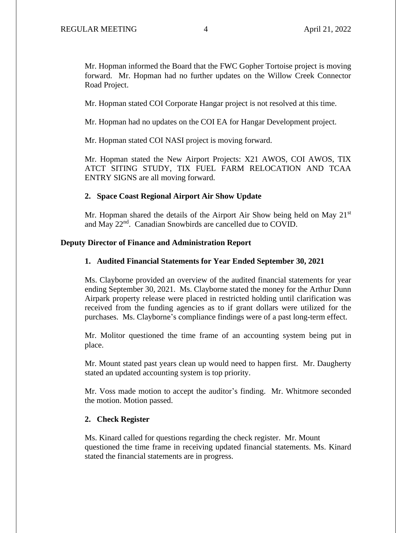Mr. Hopman informed the Board that the FWC Gopher Tortoise project is moving forward. Mr. Hopman had no further updates on the Willow Creek Connector Road Project.

Mr. Hopman stated COI Corporate Hangar project is not resolved at this time.

Mr. Hopman had no updates on the COI EA for Hangar Development project.

Mr. Hopman stated COI NASI project is moving forward.

Mr. Hopman stated the New Airport Projects: X21 AWOS, COI AWOS, TIX ATCT SITING STUDY, TIX FUEL FARM RELOCATION AND TCAA ENTRY SIGNS are all moving forward.

## **2. Space Coast Regional Airport Air Show Update**

Mr. Hopman shared the details of the Airport Air Show being held on May  $21<sup>st</sup>$ and May 22nd. Canadian Snowbirds are cancelled due to COVID.

## **Deputy Director of Finance and Administration Report**

## **1. Audited Financial Statements for Year Ended September 30, 2021**

Ms. Clayborne provided an overview of the audited financial statements for year ending September 30, 2021. Ms. Clayborne stated the money for the Arthur Dunn Airpark property release were placed in restricted holding until clarification was received from the funding agencies as to if grant dollars were utilized for the purchases. Ms. Clayborne's compliance findings were of a past long-term effect.

Mr. Molitor questioned the time frame of an accounting system being put in place.

Mr. Mount stated past years clean up would need to happen first. Mr. Daugherty stated an updated accounting system is top priority.

Mr. Voss made motion to accept the auditor's finding. Mr. Whitmore seconded the motion. Motion passed.

#### **2. Check Register**

Ms. Kinard called for questions regarding the check register. Mr. Mount questioned the time frame in receiving updated financial statements. Ms. Kinard stated the financial statements are in progress.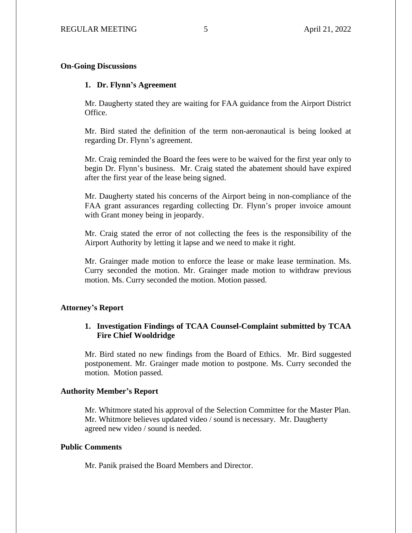## **On-Going Discussions**

## **1. Dr. Flynn's Agreement**

Mr. Daugherty stated they are waiting for FAA guidance from the Airport District Office.

Mr. Bird stated the definition of the term non-aeronautical is being looked at regarding Dr. Flynn's agreement.

Mr. Craig reminded the Board the fees were to be waived for the first year only to begin Dr. Flynn's business. Mr. Craig stated the abatement should have expired after the first year of the lease being signed.

Mr. Daugherty stated his concerns of the Airport being in non-compliance of the FAA grant assurances regarding collecting Dr. Flynn's proper invoice amount with Grant money being in jeopardy.

Mr. Craig stated the error of not collecting the fees is the responsibility of the Airport Authority by letting it lapse and we need to make it right.

Mr. Grainger made motion to enforce the lease or make lease termination. Ms. Curry seconded the motion. Mr. Grainger made motion to withdraw previous motion. Ms. Curry seconded the motion. Motion passed.

## **Attorney's Report**

## **1. Investigation Findings of TCAA Counsel-Complaint submitted by TCAA Fire Chief Wooldridge**

Mr. Bird stated no new findings from the Board of Ethics. Mr. Bird suggested postponement. Mr. Grainger made motion to postpone. Ms. Curry seconded the motion. Motion passed.

#### **Authority Member's Report**

Mr. Whitmore stated his approval of the Selection Committee for the Master Plan. Mr. Whitmore believes updated video / sound is necessary. Mr. Daugherty agreed new video / sound is needed.

## **Public Comments**

Mr. Panik praised the Board Members and Director.